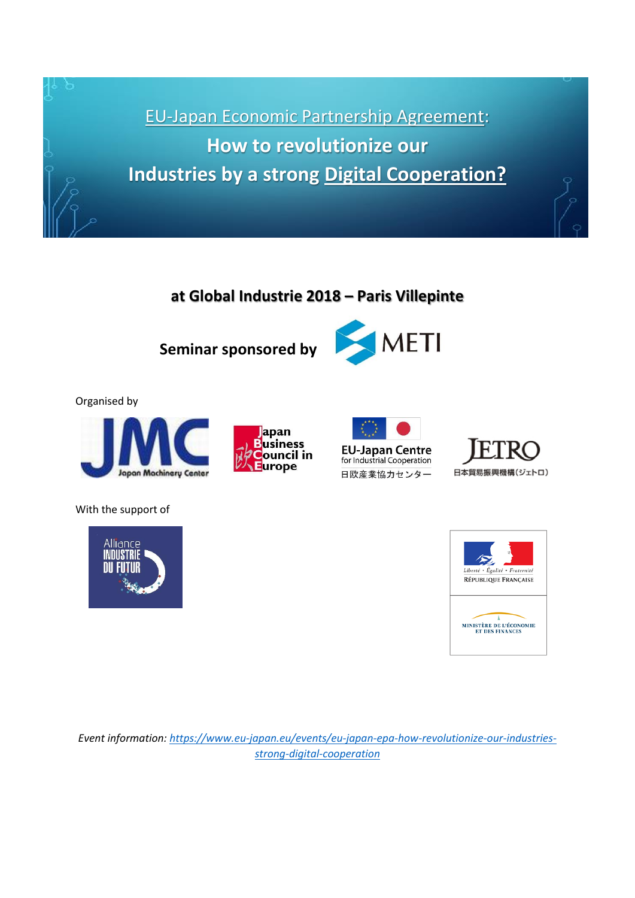

# **at Global Industrie 2018 – Paris Villepinte**

**Seminar sponsored by**



#### Organised by









With the support of





*Event information: [https://www.eu-japan.eu/events/eu-japan-epa-how-revolutionize-our-industries](https://www.eu-japan.eu/events/eu-japan-epa-how-revolutionize-our-industries-strong-digital-cooperation)[strong-digital-cooperation](https://www.eu-japan.eu/events/eu-japan-epa-how-revolutionize-our-industries-strong-digital-cooperation)*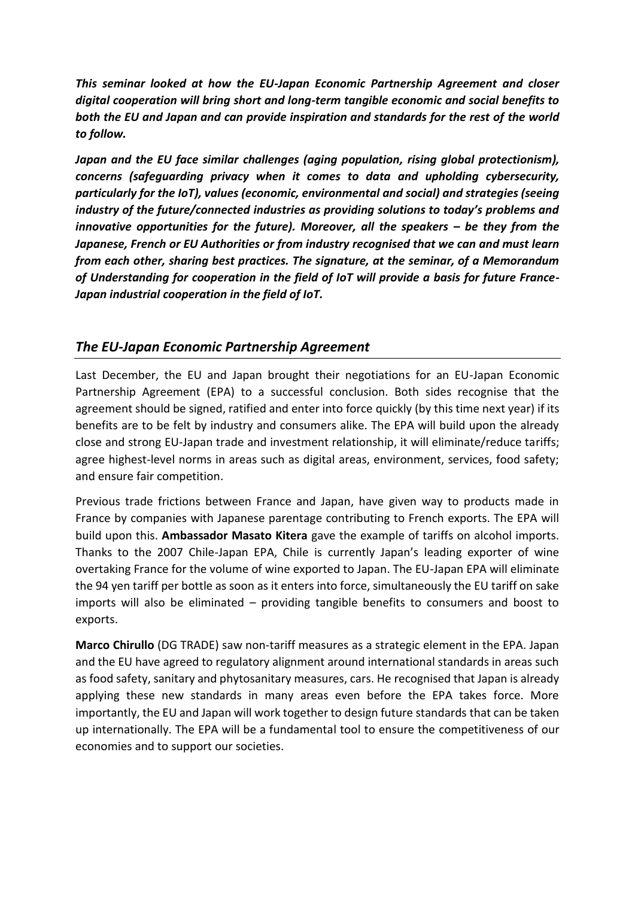*This seminar looked at how the EU-Japan Economic Partnership Agreement and closer digital cooperation will bring short and long-term tangible economic and social benefits to both the EU and Japan and can provide inspiration and standards for the rest of the world to follow.*

*Japan and the EU face similar challenges (aging population, rising global protectionism), concerns (safeguarding privacy when it comes to data and upholding cybersecurity, particularly for the IoT), values (economic, environmental and social) and strategies (seeing industry of the future/connected industries as providing solutions to today's problems and innovative opportunities for the future). Moreover, all the speakers – be they from the Japanese, French or EU Authorities or from industry recognised that we can and must learn from each other, sharing best practices. The signature, at the seminar, of a Memorandum of Understanding for cooperation in the field of IoT will provide a basis for future France-Japan industrial cooperation in the field of IoT.*

#### *The EU-Japan Economic Partnership Agreement*

Last December, the EU and Japan brought their negotiations for an EU-Japan Economic Partnership Agreement (EPA) to a successful conclusion. Both sides recognise that the agreement should be signed, ratified and enter into force quickly (by this time next year) if its benefits are to be felt by industry and consumers alike. The EPA will build upon the already close and strong EU-Japan trade and investment relationship, it will eliminate/reduce tariffs; agree highest-level norms in areas such as digital areas, environment, services, food safety; and ensure fair competition.

Previous trade frictions between France and Japan, have given way to products made in France by companies with Japanese parentage contributing to French exports. The EPA will build upon this. **Ambassador Masato Kitera** gave the example of tariffs on alcohol imports. Thanks to the 2007 Chile-Japan EPA, Chile is currently Japan's leading exporter of wine overtaking France for the volume of wine exported to Japan. The EU-Japan EPA will eliminate the 94 yen tariff per bottle as soon as it enters into force, simultaneously the EU tariff on sake imports will also be eliminated – providing tangible benefits to consumers and boost to exports.

**Marco Chirullo** (DG TRADE) saw non-tariff measures as a strategic element in the EPA. Japan and the EU have agreed to regulatory alignment around international standards in areas such as food safety, sanitary and phytosanitary measures, cars. He recognised that Japan is already applying these new standards in many areas even before the EPA takes force. More importantly, the EU and Japan will work together to design future standards that can be taken up internationally. The EPA will be a fundamental tool to ensure the competitiveness of our economies and to support our societies.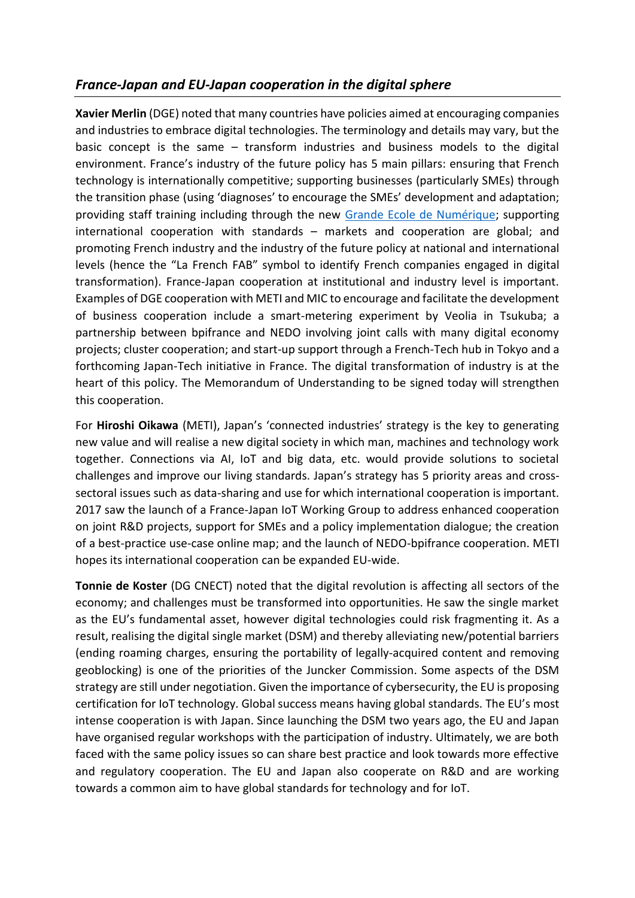### *France-Japan and EU-Japan cooperation in the digital sphere*

**Xavier Merlin** (DGE) noted that many countries have policies aimed at encouraging companies and industries to embrace digital technologies. The terminology and details may vary, but the basic concept is the same – transform industries and business models to the digital environment. France's industry of the future policy has 5 main pillars: ensuring that French technology is internationally competitive; supporting businesses (particularly SMEs) through the transition phase (using 'diagnoses' to encourage the SMEs' development and adaptation; providing staff training including through the new [Grande Ecole de Numérique;](http://www.grandeecolenumerique.fr/) supporting international cooperation with standards – markets and cooperation are global; and promoting French industry and the industry of the future policy at national and international levels (hence the "La French FAB" symbol to identify French companies engaged in digital transformation). France-Japan cooperation at institutional and industry level is important. Examples of DGE cooperation with METI and MIC to encourage and facilitate the development of business cooperation include a smart-metering experiment by Veolia in Tsukuba; a partnership between bpifrance and NEDO involving joint calls with many digital economy projects; cluster cooperation; and start-up support through a French-Tech hub in Tokyo and a forthcoming Japan-Tech initiative in France. The digital transformation of industry is at the heart of this policy. The Memorandum of Understanding to be signed today will strengthen this cooperation.

For **Hiroshi Oikawa** (METI), Japan's 'connected industries' strategy is the key to generating new value and will realise a new digital society in which man, machines and technology work together. Connections via AI, IoT and big data, etc. would provide solutions to societal challenges and improve our living standards. Japan's strategy has 5 priority areas and crosssectoral issues such as data-sharing and use for which international cooperation is important. 2017 saw the launch of a France-Japan IoT Working Group to address enhanced cooperation on joint R&D projects, support for SMEs and a policy implementation dialogue; the creation of a best-practice use-case online map; and the launch of NEDO-bpifrance cooperation. METI hopes its international cooperation can be expanded EU-wide.

**Tonnie de Koster** (DG CNECT) noted that the digital revolution is affecting all sectors of the economy; and challenges must be transformed into opportunities. He saw the single market as the EU's fundamental asset, however digital technologies could risk fragmenting it. As a result, realising the digital single market (DSM) and thereby alleviating new/potential barriers (ending roaming charges, ensuring the portability of legally-acquired content and removing geoblocking) is one of the priorities of the Juncker Commission. Some aspects of the DSM strategy are still under negotiation. Given the importance of cybersecurity, the EU is proposing certification for IoT technology. Global success means having global standards. The EU's most intense cooperation is with Japan. Since launching the DSM two years ago, the EU and Japan have organised regular workshops with the participation of industry. Ultimately, we are both faced with the same policy issues so can share best practice and look towards more effective and regulatory cooperation. The EU and Japan also cooperate on R&D and are working towards a common aim to have global standards for technology and for IoT.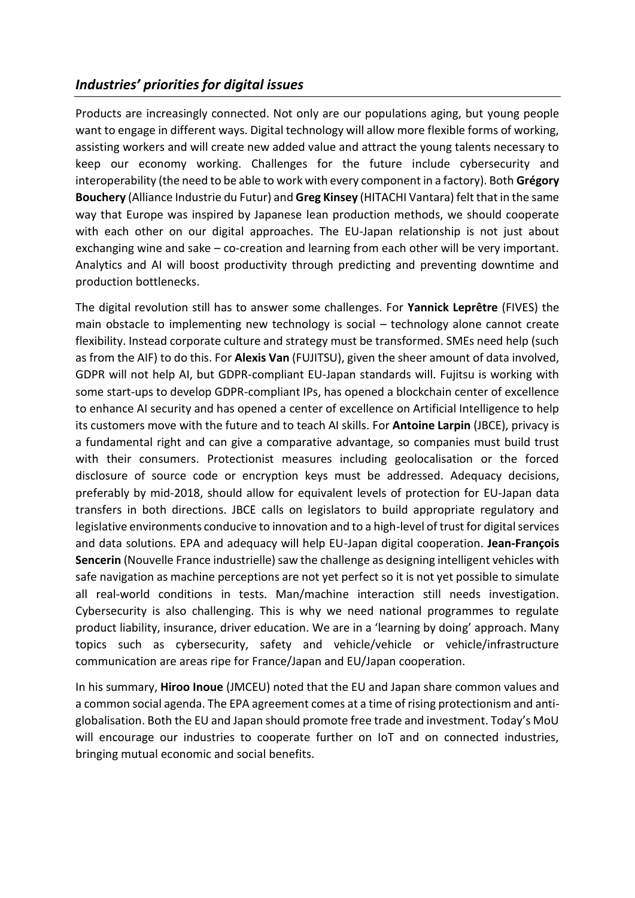#### *Industries' priorities for digital issues*

Products are increasingly connected. Not only are our populations aging, but young people want to engage in different ways. Digital technology will allow more flexible forms of working, assisting workers and will create new added value and attract the young talents necessary to keep our economy working. Challenges for the future include cybersecurity and interoperability (the need to be able to work with every component in a factory). Both **Grégory Bouchery** (Alliance Industrie du Futur) and **Greg Kinsey** (HITACHI Vantara) felt that in the same way that Europe was inspired by Japanese lean production methods, we should cooperate with each other on our digital approaches. The EU-Japan relationship is not just about exchanging wine and sake – co-creation and learning from each other will be very important. Analytics and AI will boost productivity through predicting and preventing downtime and production bottlenecks.

The digital revolution still has to answer some challenges. For **Yannick Leprêtre** (FIVES) the main obstacle to implementing new technology is social – technology alone cannot create flexibility. Instead corporate culture and strategy must be transformed. SMEs need help (such as from the AIF) to do this. For **Alexis Van** (FUJITSU), given the sheer amount of data involved, GDPR will not help AI, but GDPR-compliant EU-Japan standards will. Fujitsu is working with some start-ups to develop GDPR-compliant IPs, has opened a blockchain center of excellence to enhance AI security and has opened a center of excellence on Artificial Intelligence to help its customers move with the future and to teach AI skills. For **Antoine Larpin** (JBCE), privacy is a fundamental right and can give a comparative advantage, so companies must build trust with their consumers. Protectionist measures including geolocalisation or the forced disclosure of source code or encryption keys must be addressed. Adequacy decisions, preferably by mid-2018, should allow for equivalent levels of protection for EU-Japan data transfers in both directions. JBCE calls on legislators to build appropriate regulatory and legislative environments conducive to innovation and to a high-level of trust for digital services and data solutions. EPA and adequacy will help EU-Japan digital cooperation. **Jean-François Sencerin** (Nouvelle France industrielle) saw the challenge as designing intelligent vehicles with safe navigation as machine perceptions are not yet perfect so it is not yet possible to simulate all real-world conditions in tests. Man/machine interaction still needs investigation. Cybersecurity is also challenging. This is why we need national programmes to regulate product liability, insurance, driver education. We are in a 'learning by doing' approach. Many topics such as cybersecurity, safety and vehicle/vehicle or vehicle/infrastructure communication are areas ripe for France/Japan and EU/Japan cooperation.

In his summary, **Hiroo Inoue** (JMCEU) noted that the EU and Japan share common values and a common social agenda. The EPA agreement comes at a time of rising protectionism and antiglobalisation. Both the EU and Japan should promote free trade and investment. Today's MoU will encourage our industries to cooperate further on IoT and on connected industries, bringing mutual economic and social benefits.